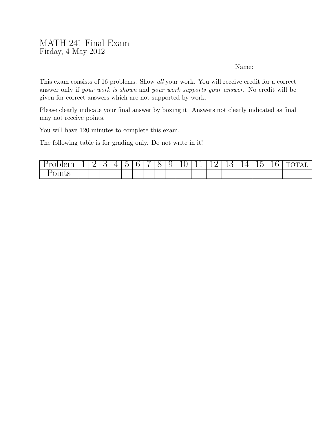## MATH 241 Final Exam Firday, 4 May 2012

## Name:

This exam consists of 16 problems. Show all your work. You will receive credit for a correct answer only if your work is shown and your work supports your answer. No credit will be given for correct answers which are not supported by work.

Please clearly indicate your final answer by boxing it. Answers not clearly indicated as final may not receive points.

You will have 120 minutes to complete this exam.

The following table is for grading only. Do not write in it!

| $\sim$<br>້ | $\overline{\phantom{0}}$ | $\overline{\phantom{0}}$ | $\check{ }$ | - |  |  | -<br>◡ | <u>+ + </u> | -- | <u>_</u> | - | ⊸<br><b>__</b><br>∼ | $\mathbf{r}$<br>$-1$<br>-- |
|-------------|--------------------------|--------------------------|-------------|---|--|--|--------|-------------|----|----------|---|---------------------|----------------------------|
| -<br>______ |                          |                          |             |   |  |  |        |             |    |          |   |                     |                            |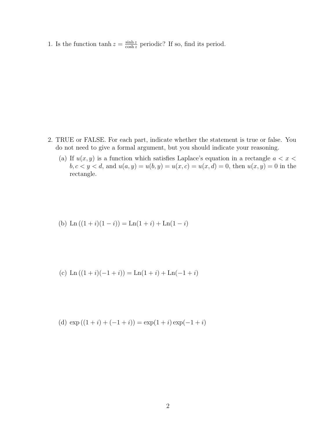1. Is the function  $\tanh z = \frac{\sinh z}{\cosh z}$  $\frac{\sinh z}{\cosh z}$  periodic? If so, find its period.

- 2. TRUE or FALSE. For each part, indicate whether the statement is true or false. You do not need to give a formal argument, but you should indicate your reasoning.
	- (a) If  $u(x, y)$  is a function which satisfies Laplace's equation in a rectangle  $a < x <$  $b, c < y < d$ , and  $u(a, y) = u(b, y) = u(x, c) = u(x, d) = 0$ , then  $u(x, y) = 0$  in the rectangle.

(b) 
$$
\text{Ln}((1+i)(1-i)) = \text{Ln}(1+i) + \text{Ln}(1-i)
$$

(c) 
$$
\text{Ln}((1+i)(-1+i)) = \text{Ln}(1+i) + \text{Ln}(-1+i)
$$

(d) 
$$
\exp((1+i)+(-1+i)) = \exp(1+i)\exp(-1+i)
$$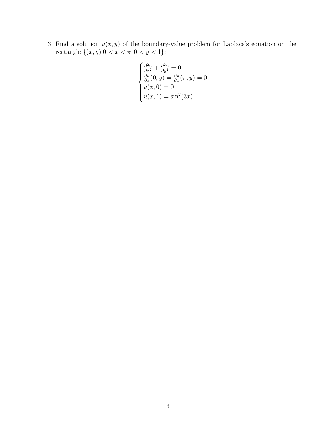3. Find a solution  $u(x, y)$  of the boundary-value problem for Laplace's equation on the rectangle  $\{(x, y) | 0 < x < \pi, 0 < y < 1\}$ :

$$
\begin{cases}\n\frac{\partial^2 u}{\partial x^2} + \frac{\partial^2 u}{\partial y^2} = 0\\ \n\frac{\partial u}{\partial x}(0, y) = \frac{\partial u}{\partial x}(\pi, y) = 0\\ \n u(x, 0) = 0\\ \n u(x, 1) = \sin^2(3x)\n\end{cases}
$$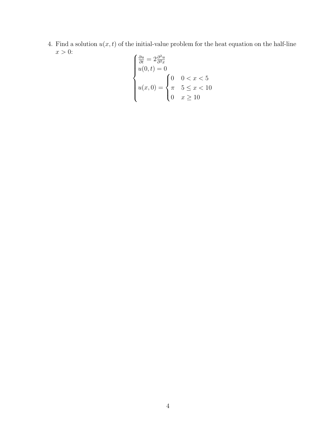4. Find a solution  $u(x, t)$  of the initial-value problem for the heat equation on the half-line  $x > 0$ :  $\overline{ }$ 

$$
\begin{cases}\n\frac{\partial u}{\partial t} = 2 \frac{\partial^2 u}{\partial^2 x} \\
u(0, t) = 0 \\
u(x, 0) = \begin{cases}\n0 & 0 < x < 5 \\
\pi & 5 \leq x < 10 \\
0 & x \geq 10\n\end{cases}\n\end{cases}
$$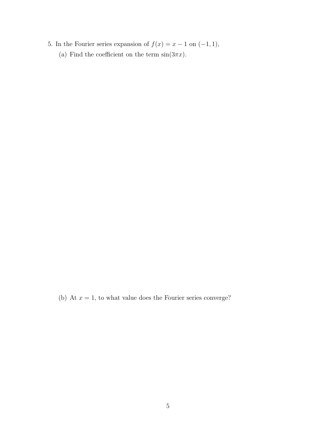5. In the Fourier series expansion of  $f(x) = x - 1$  on  $(-1, 1)$ , (a) Find the coefficient on the term  $sin(3\pi x)$ .

(b) At  $x = 1$ , to what value does the Fourier series converge?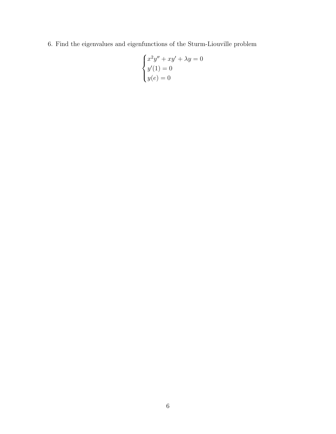6. Find the eigenvalues and eigenfunctions of the Sturm-Liouville problem

$$
\begin{cases}\nx^2y'' + xy' + \lambda y = 0 \\
y'(1) = 0 \\
y(e) = 0\n\end{cases}
$$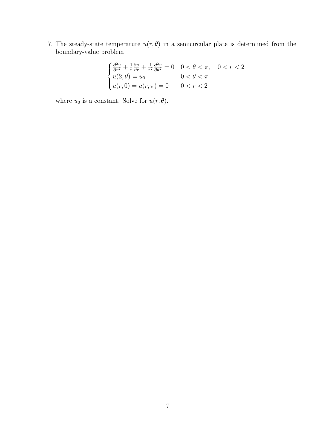7. The steady-state temperature  $u(r, \theta)$  in a semicircular plate is determined from the boundary-value problem

$$
\begin{cases} \frac{\partial^2 u}{\partial r^2} + \frac{1}{r} \frac{\partial u}{\partial r} + \frac{1}{r^2} \frac{\partial^2 u}{\partial \theta^2} = 0 & 0 < \theta < \pi, \quad 0 < r < 2\\ u(2, \theta) = u_0 & 0 < \theta < \pi\\ u(r, 0) = u(r, \pi) = 0 & 0 < r < 2 \end{cases}
$$

where  $u_0$  is a constant. Solve for  $u(r, \theta)$ .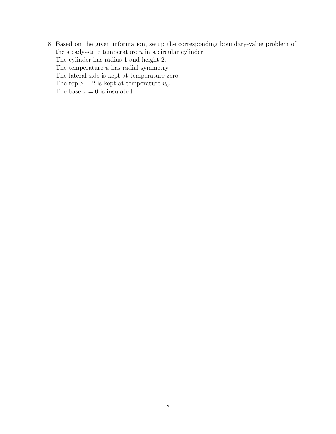8. Based on the given information, setup the corresponding boundary-value problem of the steady-state temperature  $u$  in a circular cylinder. The cylinder has radius 1 and height 2. The temperature  $u$  has radial symmetry. The lateral side is kept at temperature zero. The top  $z = 2$  is kept at temperature  $u_0$ . The base  $z = 0$  is insulated.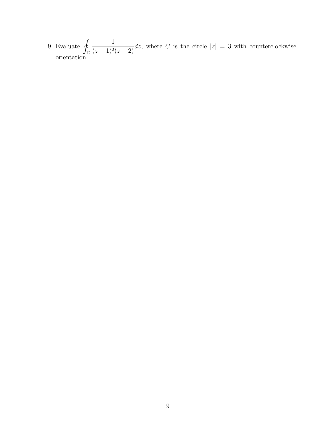9. Evaluate  $\oint$  $\mathcal{C}_{0}^{0}$ 1  $\frac{1}{(z-1)^2(z-2)}$ dz, where C is the circle  $|z|=3$  with counterclockwise orientation.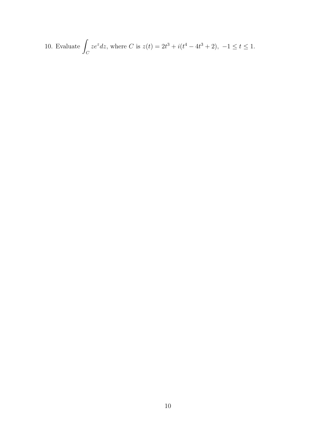10. Evaluate 
$$
\int_C ze^z dz
$$
, where C is  $z(t) = 2t^3 + i(t^4 - 4t^3 + 2)$ ,  $-1 \le t \le 1$ .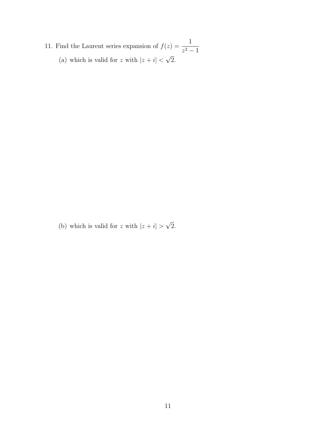- 11. Find the Laurent series expansion of  $f(z) = \frac{1}{z-2}$  $\frac{z^2-1}{\sqrt{2}}$ 
	- (a) which is valid for z with  $|z+i| < \sqrt{2}$ .

(b) which is valid for z with  $|z + i|$ √ 2.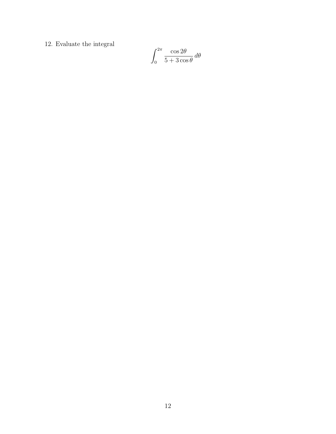$12. \,$  Evaluate the integral

$$
\int_0^{2\pi} \frac{\cos 2\theta}{5 + 3\cos \theta} \, d\theta
$$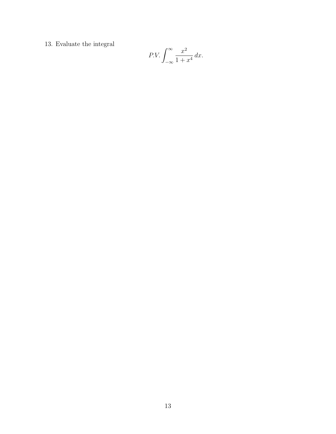13. Evaluate the integral

$$
P.V. \int_{-\infty}^{\infty} \frac{x^2}{1+x^4} \, dx.
$$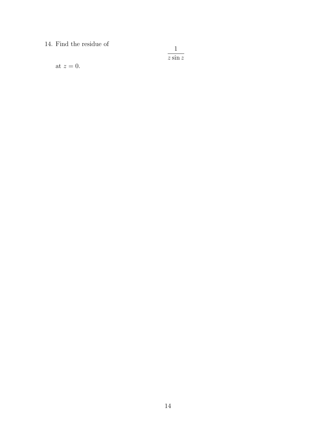14. Find the residue of

 $\frac{1}{z \sin z}$ 

at  $z=0$ .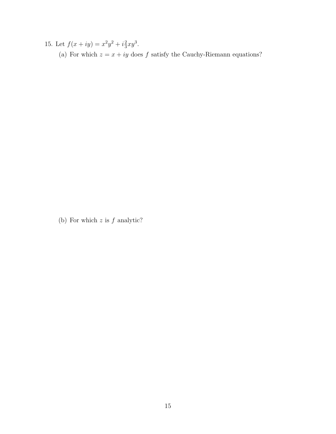15. Let  $f(x+iy) = x^2y^2 + i\frac{2}{3}$  $rac{2}{3}xy^3$ . (a) For which  $z = x + iy$  does  $f$  satisfy the Cauchy-Riemann equations?

(b) For which  $z$  is  $f$  analytic?